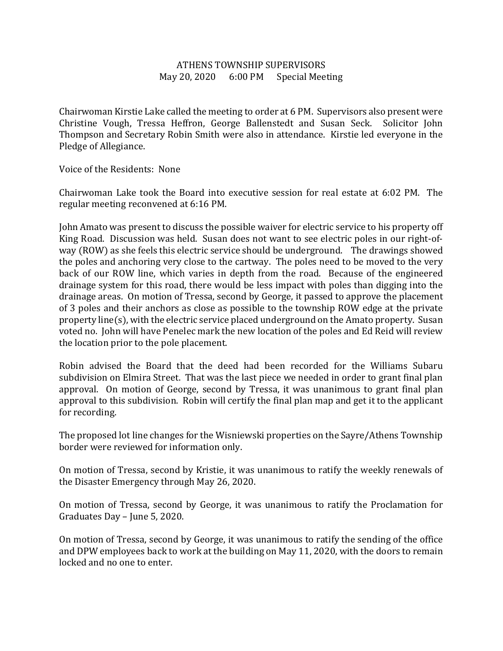## ATHENS TOWNSHIP SUPERVISORS May 20, 2020 6:00 PM Special Meeting

Chairwoman Kirstie Lake called the meeting to order at 6 PM. Supervisors also present were Christine Vough, Tressa Heffron, George Ballenstedt and Susan Seck. Solicitor John Thompson and Secretary Robin Smith were also in attendance. Kirstie led everyone in the Pledge of Allegiance.

Voice of the Residents: None

Chairwoman Lake took the Board into executive session for real estate at 6:02 PM. The regular meeting reconvened at 6:16 PM.

John Amato was present to discuss the possible waiver for electric service to his property off King Road. Discussion was held. Susan does not want to see electric poles in our right-ofway (ROW) as she feels this electric service should be underground. The drawings showed the poles and anchoring very close to the cartway. The poles need to be moved to the very back of our ROW line, which varies in depth from the road. Because of the engineered drainage system for this road, there would be less impact with poles than digging into the drainage areas. On motion of Tressa, second by George, it passed to approve the placement of 3 poles and their anchors as close as possible to the township ROW edge at the private property line(s), with the electric service placed underground on the Amato property. Susan voted no. John will have Penelec mark the new location of the poles and Ed Reid will review the location prior to the pole placement.

Robin advised the Board that the deed had been recorded for the Williams Subaru subdivision on Elmira Street. That was the last piece we needed in order to grant final plan approval. On motion of George, second by Tressa, it was unanimous to grant final plan approval to this subdivision. Robin will certify the final plan map and get it to the applicant for recording.

The proposed lot line changes for the Wisniewski properties on the Sayre/Athens Township border were reviewed for information only.

On motion of Tressa, second by Kristie, it was unanimous to ratify the weekly renewals of the Disaster Emergency through May 26, 2020.

On motion of Tressa, second by George, it was unanimous to ratify the Proclamation for Graduates Day – June 5, 2020.

On motion of Tressa, second by George, it was unanimous to ratify the sending of the office and DPW employees back to work at the building on May 11, 2020, with the doors to remain locked and no one to enter.